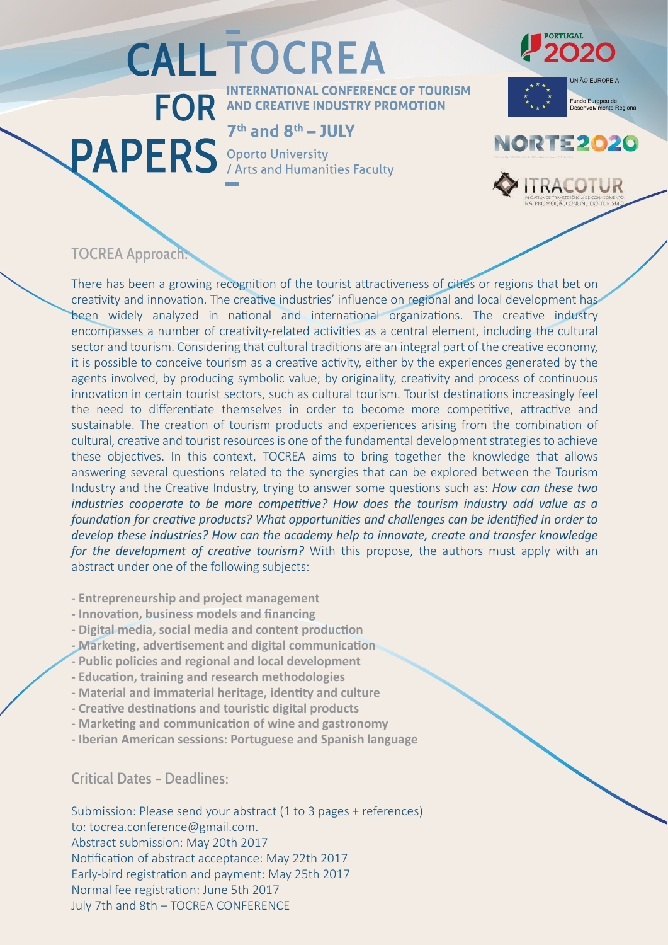## **CALL TOCREA**

**ERNATIONAL CONFERENCE OF TOURISM** FOR AND CREATIVE INDUSTRY PROMOTION

## $7<sup>th</sup>$  and  $8<sup>th</sup> - JUIY$

**PAPERS** Oporto University

## UNIÃO EUROPEIA

.<br>Fundo Europeu de<br>Desenvo<mark>lviment</mark>o Regional

**020** 



**IRACOTUR** 

## TOCREA Approach:

There has been a growing recognition of the tourist attractiveness of cities or regions that bet on creativity and innovation. The creative industries' influence on regional and local development has been widely analyzed in national and international organizations. The creative industry encompasses a number of creativity-related activities as a central element, including the cultural sector and tourism. Considering that cultural traditions are an integral part of the creative economy, it is possible to conceive tourism as a creative activity, either by the experiences generated by the agents involved, by producing symbolic value; by originality, creativity and process of continuous innovation in certain tourist sectors, such as cultural tourism. Tourist destinations increasingly feel the need to differentiate themselves in order to become more competitive, attractive and sustainable. The creation of tourism products and experiences arising from the combination of cultural, creative and tourist resources is one of the fundamental development strategies to achieve these objec�ves. In this context, TOCREA aims to bring together the knowledge that allows answering several questions related to the synergies that can be explored between the Tourism Industry and the Creative Industry, trying to answer some questions such as: *How can these two industries cooperate to be more competitive? How does the tourism industry add value as a foundation for creative products? What opportunities and challenges can be identified in order to develop these industries? How can the academy help to innovate, create and transfer knowledge for the development of creative tourism?* With this propose, the authors must apply with an abstract under one of the following subjects:

**- Entrepreneurship and project management** 

- **Innova�on, business models and financing**
- Digital media, social media and content production
- **Marke�ng, adver�sement and digital communica�on**
- **Public policies and regional and local development**
- **Educa�on, training and research methodologies**
- **Material and immaterial heritage, iden�ty and culture**
- **Crea�ve des�na�ons and touris�c digital products**
- **Marke�ng and communica�on of wine and gastronomy**
- **Iberian American sessions: Portuguese and Spanish language**

Critical Dates – Deadlines:

Submission: Please send your abstract (1 to 3 pages + references) to: tocrea.conference@gmail.com. Abstract submission: May 20th 2017 Notification of abstract acceptance: May 22th 2017 Early-bird registration and payment: May 25th 2017 Normal fee registration: June 5th 2017 July 7th and 8th – TOCREA CONFERENCE